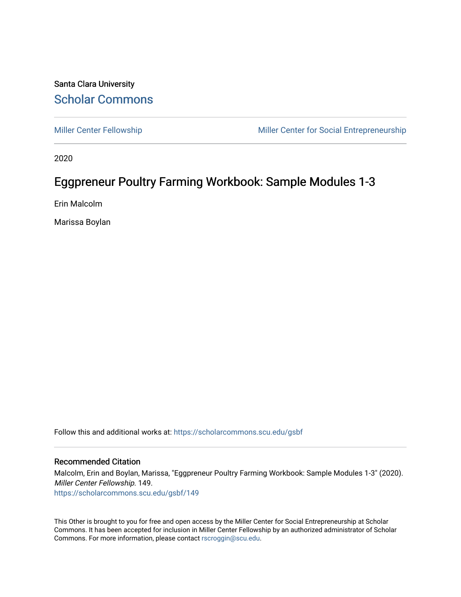#### Santa Clara University [Scholar Commons](https://scholarcommons.scu.edu/)

[Miller Center Fellowship](https://scholarcommons.scu.edu/gsbf) Miller Center for Social Entrepreneurship

2020

### Eggpreneur Poultry Farming Workbook: Sample Modules 1-3

Erin Malcolm

Marissa Boylan

Follow this and additional works at: [https://scholarcommons.scu.edu/gsbf](https://scholarcommons.scu.edu/gsbf?utm_source=scholarcommons.scu.edu%2Fgsbf%2F149&utm_medium=PDF&utm_campaign=PDFCoverPages)

#### Recommended Citation

Malcolm, Erin and Boylan, Marissa, "Eggpreneur Poultry Farming Workbook: Sample Modules 1-3" (2020). Miller Center Fellowship. 149. [https://scholarcommons.scu.edu/gsbf/149](https://scholarcommons.scu.edu/gsbf/149?utm_source=scholarcommons.scu.edu%2Fgsbf%2F149&utm_medium=PDF&utm_campaign=PDFCoverPages) 

This Other is brought to you for free and open access by the Miller Center for Social Entrepreneurship at Scholar Commons. It has been accepted for inclusion in Miller Center Fellowship by an authorized administrator of Scholar Commons. For more information, please contact [rscroggin@scu.edu](mailto:rscroggin@scu.edu).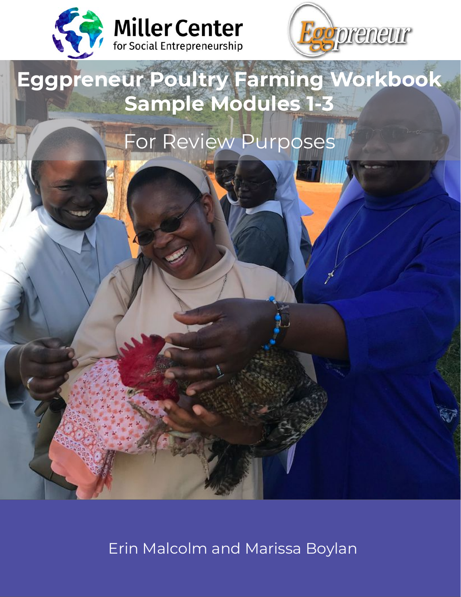



# **Eggpreneur Poultry Farming Workbook Sample Modules 1-3**

# For Review Purposes

Erin Malcolm and Marissa Boylan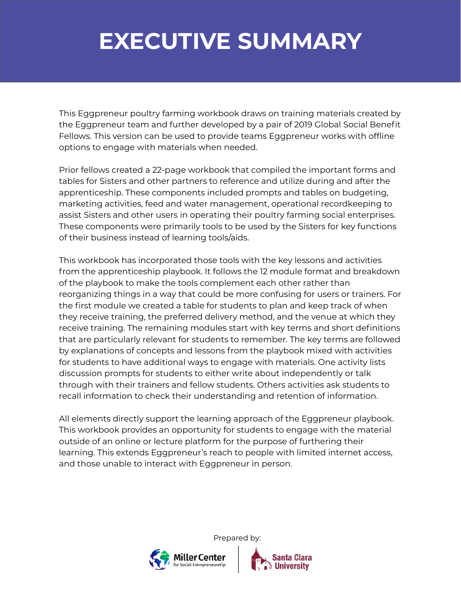## **EXECUTIVE SUMMARY**

This Eggpreneur poultry farming workbook draws on training materials created by the Eggpreneur team and further developed by a pair of 2019 Global Social Benefit Fellows. This version can be used to provide teams Eggpreneur works with offline options to engage with materials when needed.

Prior fellows created a 22-page workbook that compiled the important forms and tables for Sisters and other partners to reference and utilize during and after the apprenticeship. These components included prompts and tables on budgeting, marketing activities, feed and water management, operational recordkeeping to assist Sisters and other users in operating their poultry farming social enterprises. These components were primarily tools to be used by the Sisters for key functions of their business instead of learning tools/aids.

This workbook has incorporated those tools with the key lessons and activities from the apprenticeship playbook. It follows the 12 module format and breakdown of the playbook to make the tools complement each other rather than reorganizing things in a way that could be more confusing for users or trainers. For the first module we created a table for students to plan and keep track of when they receive training, the preferred delivery method, and the venue at which they receive training. The remaining modules start with key terms and short definitions that are particularly relevant for students to remember. The key terms are followed by explanations of concepts and lessons from the playbook mixed with activities for students to have additional ways to engage with materials. One activity lists discussion prompts for students to either write about independently or talk through with their trainers and fellow students. Others activities ask students to recall information to check their understanding and retention of information.

All elements directly support the learning approach of the Eggpreneur playbook. This workbook provides an opportunity for students to engage with the material outside of an online or lecture platform for the purpose of furthering their learning. This extends Eggpreneur's reach to people with limited internet access, and those unable to interact with Eggpreneur in person.

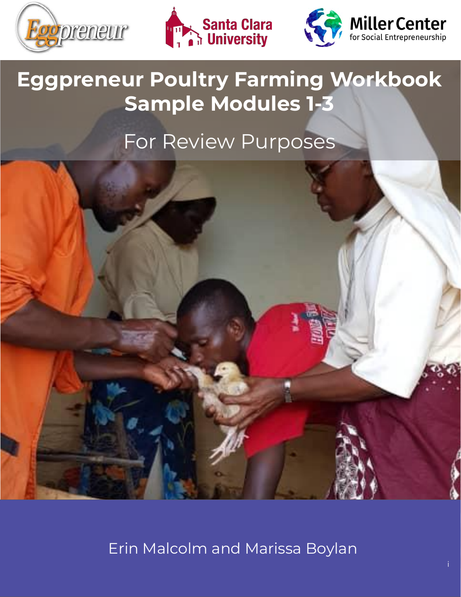





# **Eggpreneur Poultry Farming Workbook Sample Modules 1-3**

### For Review Purposes



Erin Malcolm and Marissa Boylan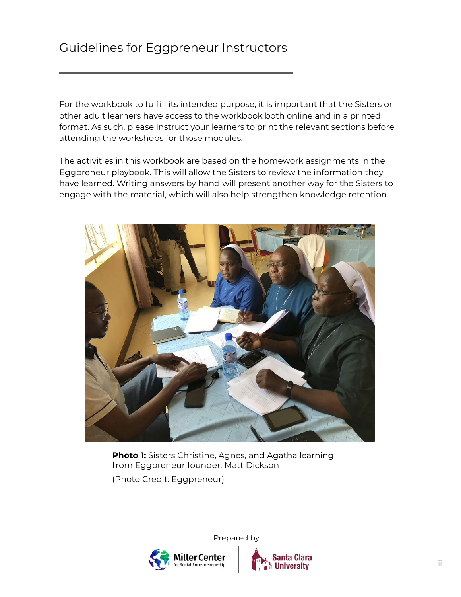### Guidelines for Eggpreneur Instructors

For the workbook to fulfill its intended purpose, it is important that the Sisters or other adult learners have access to the workbook both online and in a printed format. As such, please instruct your learners to print the relevant sections before attending the workshops for those modules.

The activities in this workbook are based on the homework assignments in the Eggpreneur playbook. This will allow the Sisters to review the information they have learned. Writing answers by hand will present another way for the Sisters to engage with the material, which will also help strengthen knowledge retention.



**Photo 1:** Sisters Christine, Agnes, and Agatha learning from Eggpreneur founder, Matt Dickson (Photo Credit: Eggpreneur)



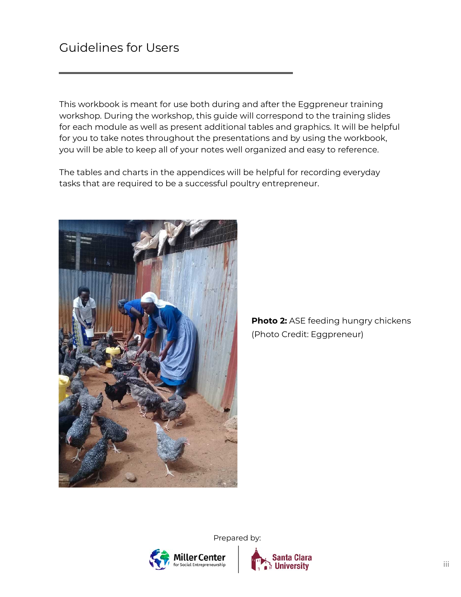This workbook is meant for use both during and after the Eggpreneur training workshop. During the workshop, this guide will correspond to the training slides for each module as well as present additional tables and graphics. It will be helpful for you to take notes throughout the presentations and by using the workbook, you will be able to keep all of your notes well organized and easy to reference.

The tables and charts in the appendices will be helpful for recording everyday tasks that are required to be a successful poultry entrepreneur.



**Photo 2:** ASE feeding hungry chickens (Photo Credit: Eggpreneur)

ller Center Social Entrepreneurship

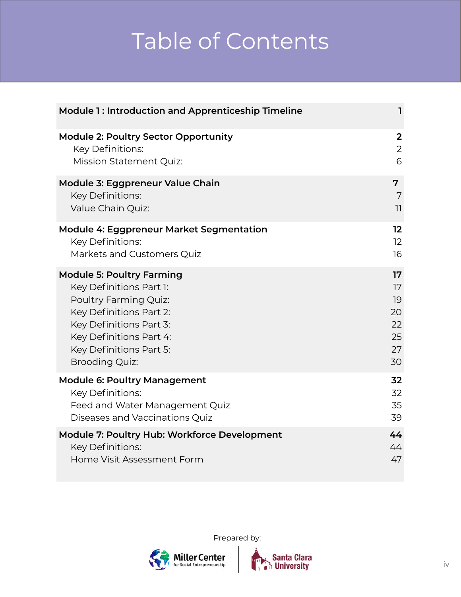# Table of Contents

| <b>Module 1: Introduction and Apprenticeship Timeline</b> | ı              |
|-----------------------------------------------------------|----------------|
| <b>Module 2: Poultry Sector Opportunity</b>               | $\overline{2}$ |
| Key Definitions:                                          | $\overline{2}$ |
| <b>Mission Statement Quiz:</b>                            | 6              |
| Module 3: Eggpreneur Value Chain                          | 7              |
| Key Definitions:                                          | 7              |
| Value Chain Quiz:                                         | $\overline{1}$ |
| <b>Module 4: Eggpreneur Market Segmentation</b>           | 12             |
| Key Definitions:                                          | 12             |
| Markets and Customers Quiz                                | 16             |
| <b>Module 5: Poultry Farming</b>                          | 17             |
| Key Definitions Part 1:                                   | 17             |
| Poultry Farming Quiz:                                     | 19             |
| Key Definitions Part 2:                                   | 20             |
| Key Definitions Part 3:                                   | 22             |
| Key Definitions Part 4:                                   | 25             |
| Key Definitions Part 5:                                   | 27             |
| <b>Brooding Quiz:</b>                                     | 30             |
| <b>Module 6: Poultry Management</b>                       | 32             |
| Key Definitions:                                          | 32             |
| Feed and Water Management Quiz                            | 35             |
| Diseases and Vaccinations Quiz                            | 39             |
| Module 7: Poultry Hub: Workforce Development              | 44             |
| <b>Key Definitions:</b>                                   | 44             |
| Home Visit Assessment Form                                | 47             |



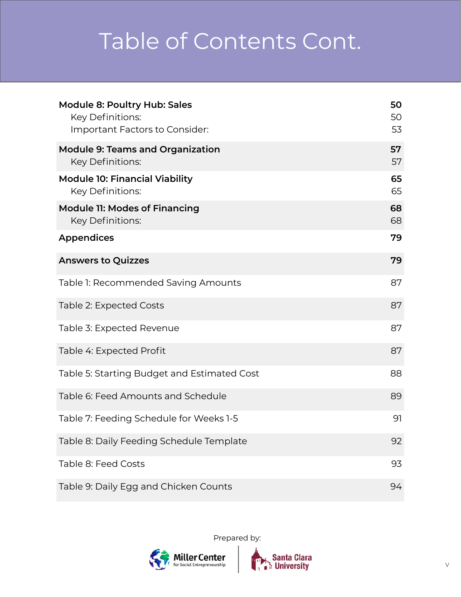# Table of Contents Cont.

| <b>Module 8: Poultry Hub: Sales</b><br><b>Key Definitions:</b><br>Important Factors to Consider: | 50<br>50<br>53 |
|--------------------------------------------------------------------------------------------------|----------------|
| <b>Module 9: Teams and Organization</b><br>Key Definitions:                                      | 57<br>57       |
| <b>Module 10: Financial Viability</b><br><b>Key Definitions:</b>                                 | 65<br>65       |
| <b>Module 11: Modes of Financing</b><br><b>Key Definitions:</b>                                  | 68<br>68       |
| <b>Appendices</b>                                                                                | 79             |
| <b>Answers to Quizzes</b>                                                                        | 79             |
| Table 1: Recommended Saving Amounts                                                              | 87             |
| Table 2: Expected Costs                                                                          | 87             |
| Table 3: Expected Revenue                                                                        | 87             |
| Table 4: Expected Profit                                                                         | 87             |
| Table 5: Starting Budget and Estimated Cost                                                      | 88             |
| Table 6: Feed Amounts and Schedule                                                               | 89             |
| Table 7: Feeding Schedule for Weeks 1-5                                                          | 91             |
| Table 8: Daily Feeding Schedule Template                                                         | 92             |
| Table 8: Feed Costs                                                                              | 93             |
| Table 9: Daily Egg and Chicken Counts                                                            | 94             |

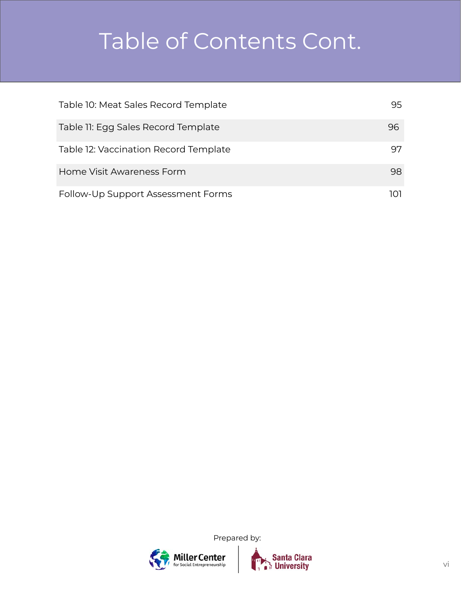# Table of Contents Cont.

| Table 10: Meat Sales Record Template  | 95. |
|---------------------------------------|-----|
| Table 11: Egg Sales Record Template   | 96  |
| Table 12: Vaccination Record Template | 97  |
| Home Visit Awareness Form             | 98  |
| Follow-Up Support Assessment Forms    | ומו |



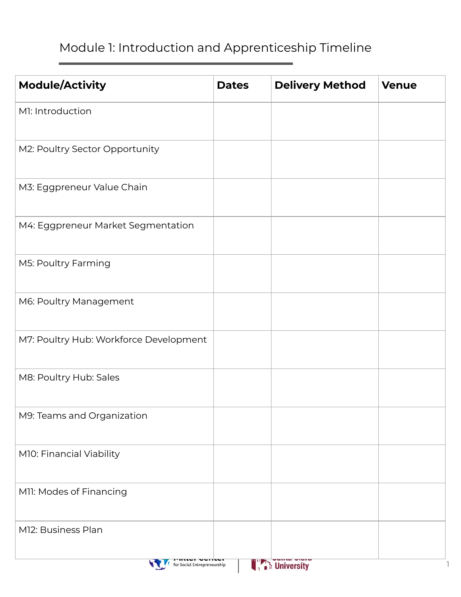### Module 1: Introduction and Apprenticeship Timeline

| <b>Module/Activity</b>                 | <b>Dates</b> | <b>Delivery Method</b> | <b>Venue</b> |
|----------------------------------------|--------------|------------------------|--------------|
| M1: Introduction                       |              |                        |              |
| M2: Poultry Sector Opportunity         |              |                        |              |
| M3: Eggpreneur Value Chain             |              |                        |              |
| M4: Eggpreneur Market Segmentation     |              |                        |              |
| M5: Poultry Farming                    |              |                        |              |
| M6: Poultry Management                 |              |                        |              |
| M7: Poultry Hub: Workforce Development |              |                        |              |
| M8: Poultry Hub: Sales                 |              |                        |              |
| M9: Teams and Organization             |              |                        |              |
| M10: Financial Viability               |              |                        |              |
| M11: Modes of Financing                |              |                        |              |
| M12: Business Plan                     |              |                        |              |
| for Social Entrepreneurship            |              | University             |              |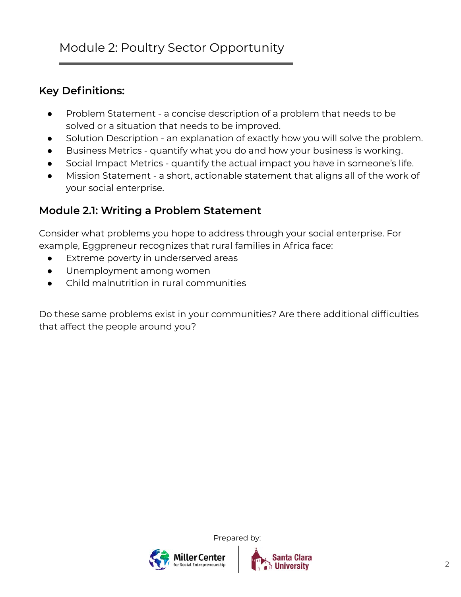#### **Key Definitions:**

- Problem Statement a concise description of a problem that needs to be solved or a situation that needs to be improved.
- Solution Description an explanation of exactly how you will solve the problem.
- Business Metrics quantify what you do and how your business is working.
- Social Impact Metrics quantify the actual impact you have in someone's life.
- Mission Statement a short, actionable statement that aligns all of the work of your social enterprise.

#### **Module 2.1: Writing a Problem Statement**

Consider what problems you hope to address through your social enterprise. For example, Eggpreneur recognizes that rural families in Africa face:

- Extreme poverty in underserved areas
- Unemployment among women
- Child malnutrition in rural communities

Do these same problems exist in your communities? Are there additional difficulties that affect the people around you?



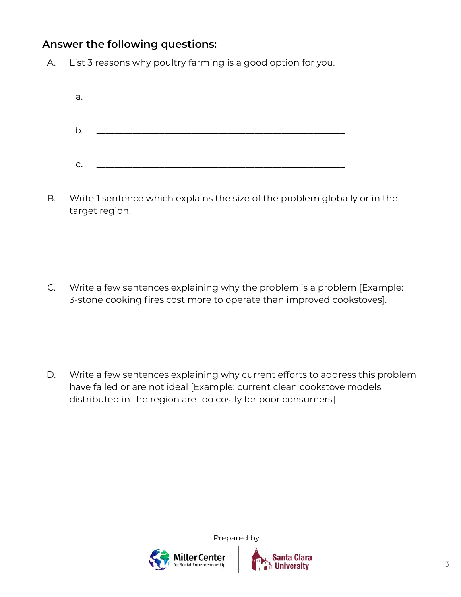#### **Answer the following questions:**

A. List 3 reasons why poultry farming is a good option for you.

| C. | <u> 1980 - Jan Barbarat, martin amerikan ba</u> |  |
|----|-------------------------------------------------|--|

B. Write 1 sentence which explains the size of the problem globally or in the target region.

C. Write a few sentences explaining why the problem is a problem [Example: 3-stone cooking fires cost more to operate than improved cookstoves].

D. Write a few sentences explaining why current efforts to address this problem have failed or are not ideal [Example: current clean cookstove models distributed in the region are too costly for poor consumers]



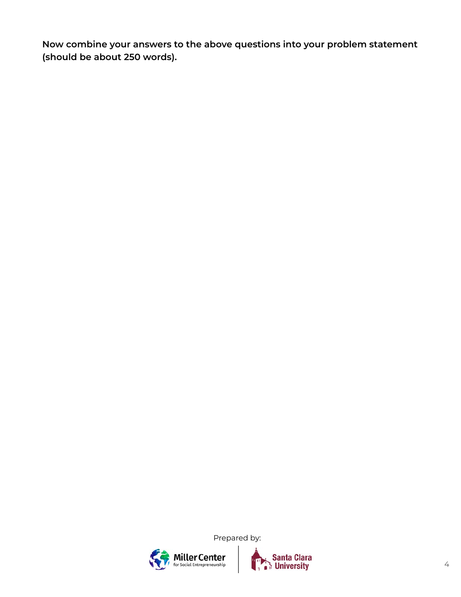**Now combine your answers to the above questions into your problem statement (should be about 250 words).**



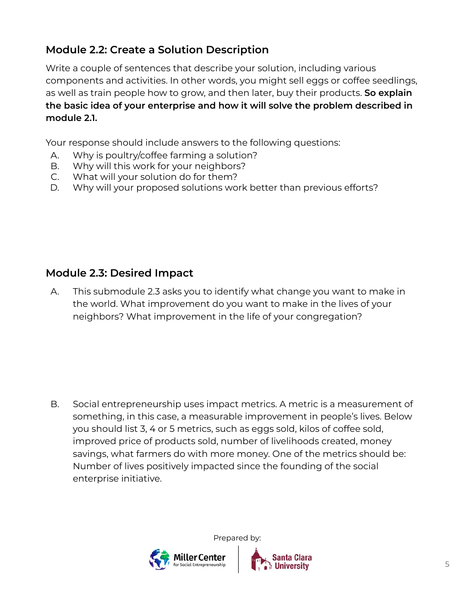### **Module 2.2: Create a Solution Description**

Write a couple of sentences that describe your solution, including various components and activities. In other words, you might sell eggs or coffee seedlings, as well as train people how to grow, and then later, buy their products. **So explain the basic idea of your enterprise and how it will solve the problem described in module 2.1.**

Your response should include answers to the following questions:

- A. Why is poultry/coffee farming a solution?
- B. Why will this work for your neighbors?
- C. What will your solution do for them?
- D. Why will your proposed solutions work better than previous efforts?

### **Module 2.3: Desired Impact**

A. This submodule 2.3 asks you to identify what change you want to make in the world. What improvement do you want to make in the lives of your neighbors? What improvement in the life of your congregation?

B. Social entrepreneurship uses impact metrics. A metric is a measurement of something, in this case, a measurable improvement in people's lives. Below you should list 3, 4 or 5 metrics, such as eggs sold, kilos of coffee sold, improved price of products sold, number of livelihoods created, money savings, what farmers do with more money. One of the metrics should be: Number of lives positively impacted since the founding of the social enterprise initiative.



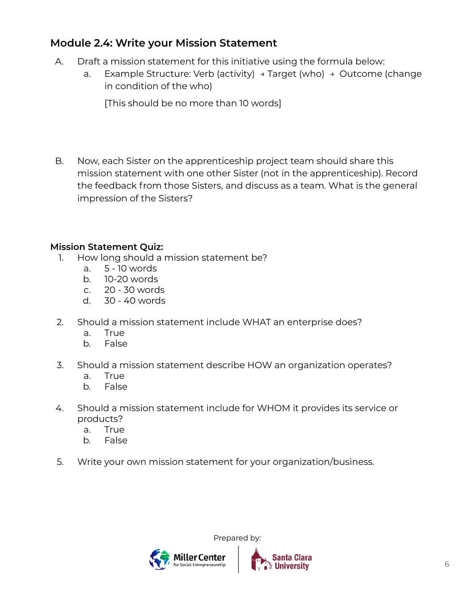#### **Module 2.4: Write your Mission Statement**

- A. Draft a mission statement for this initiative using the formula below:
	- a. Example Structure: Verb (activity)  $\rightarrow$  Target (who)  $\rightarrow$  Outcome (change in condition of the who)

[This should be no more than 10 words]

B. Now, each Sister on the apprenticeship project team should share this mission statement with one other Sister (not in the apprenticeship). Record the feedback from those Sisters, and discuss as a team. What is the general impression of the Sisters?

#### **Mission Statement Quiz:**

- 1. How long should a mission statement be?
	- a. 5 10 words
	- b. 10-20 words
	- c. 20 30 words
	- d. 30 40 words
- 2. Should a mission statement include WHAT an enterprise does?
	- a. True
	- b. False
- 3. Should a mission statement describe HOW an organization operates?
	- a. True
	- b. False
- 4. Should a mission statement include for WHOM it provides its service or products?
	- a. True
	- b. False
- 5. Write your own mission statement for your organization/business.



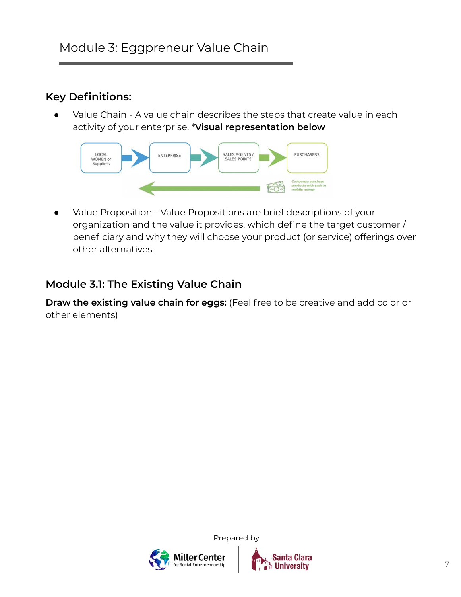### **Key Definitions:**

Value Chain - A value chain describes the steps that create value in each activity of your enterprise. \***Visual representation below**



Value Proposition - Value Propositions are brief descriptions of your organization and the value it provides, which define the target customer / beneficiary and why they will choose your product (or service) offerings over other alternatives.

#### **Module 3.1: The Existing Value Chain**

**Draw the existing value chain for eggs:** (Feel free to be creative and add color or other elements)



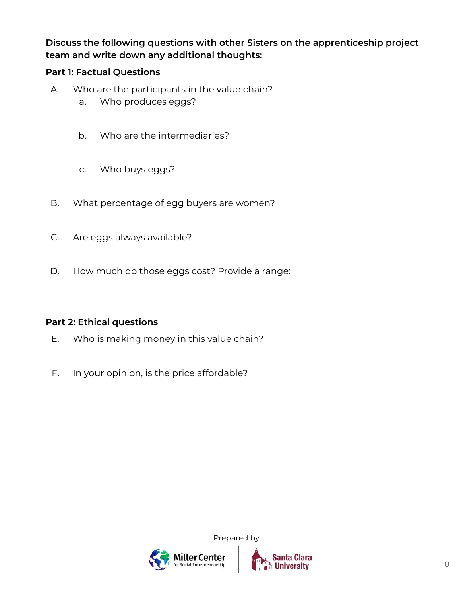#### **Discuss the following questions with other Sisters on the apprenticeship project team and write down any additional thoughts:**

#### **Part 1: Factual Questions**

- A. Who are the participants in the value chain?
	- a. Who produces eggs?
	- b. Who are the intermediaries?
	- c. Who buys eggs?
- B. What percentage of egg buyers are women?
- C. Are eggs always available?
- D. How much do those eggs cost? Provide a range:

#### **Part 2: Ethical questions**

- E. Who is making money in this value chain?
- F. In your opinion, is the price affordable?



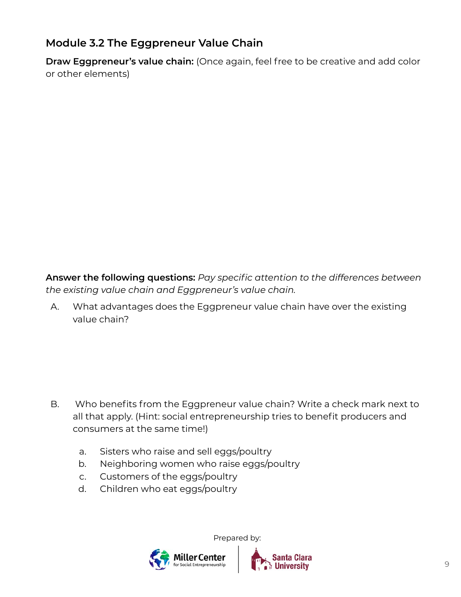### **Module 3.2 The Eggpreneur Value Chain**

**Draw Eggpreneur's value chain:** (Once again, feel free to be creative and add color or other elements)

**Answer the following questions:** *Pay specific attention to the differences between the existing value chain and Eggpreneur's value chain.*

A. What advantages does the Eggpreneur value chain have over the existing value chain?

- B. Who benefits from the Eggpreneur value chain? Write a check mark next to all that apply. (Hint: social entrepreneurship tries to benefit producers and consumers at the same time!)
	- a. Sisters who raise and sell eggs/poultry
	- b. Neighboring women who raise eggs/poultry
	- c. Customers of the eggs/poultry
	- d. Children who eat eggs/poultry



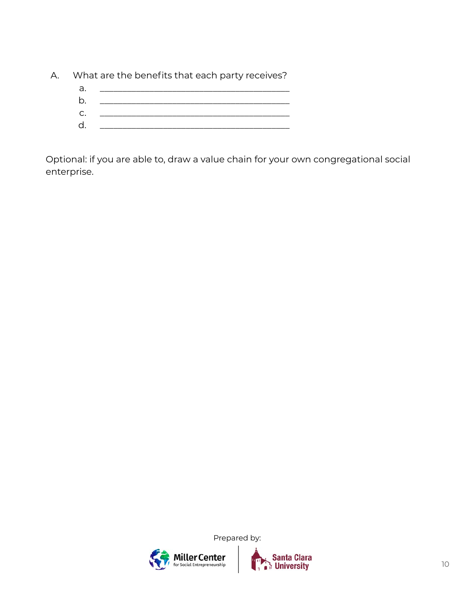A. What are the benefits that each party receives?

| а. |                      |
|----|----------------------|
| b. |                      |
|    | $C.$ $\qquad \qquad$ |
|    |                      |

Optional: if you are able to, draw a value chain for your own congregational social enterprise.



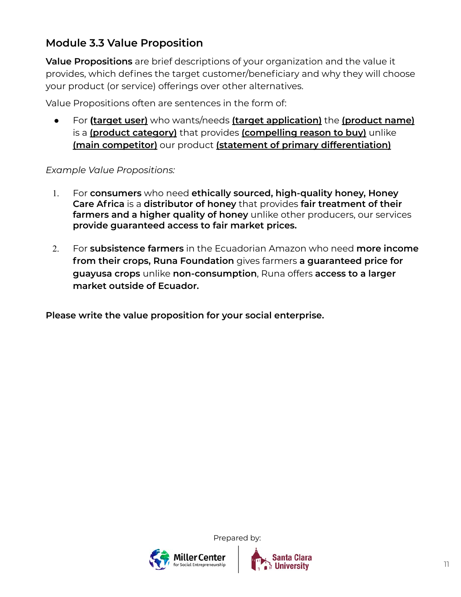### **Module 3.3 Value Proposition**

**Value Propositions** are brief descriptions of your organization and the value it provides, which defines the target customer/beneficiary and why they will choose your product (or service) offerings over other alternatives.

Value Propositions often are sentences in the form of:

● For **(target user)** who wants/needs **(target application)** the **(product name)**  is a **(product category)** that provides **(compelling reason to buy)** unlike **(main competitor)** our product **(statement of primary differentiation)**

#### *Example Value Propositions:*

- 1. For **consumers** who need **ethically sourced, high-quality honey, Honey Care Africa** is a **distributor of honey** that provides **fair treatment of their farmers and a higher quality of honey** unlike other producers, our services **provide guaranteed access to fair market prices.**
- 2. For **subsistence farmers** in the Ecuadorian Amazon who need **more income from their crops, Runa Foundation** gives farmers **a guaranteed price for guayusa crops** unlike **non-consumption**, Runa offers **access to a larger market outside of Ecuador.**

**Please write the value proposition for your social enterprise.**